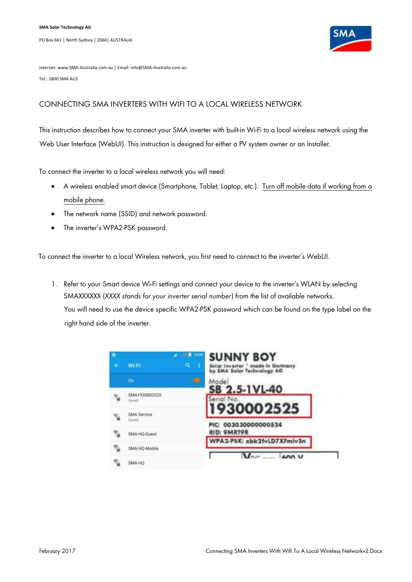

Internet: www.SMA-Australia.com.au | Email: info@SMA-Australia.com.au Tel.: 1800 SMA AUS

## CONNECTING SMA INVERTERS WITH WIFI TO A LOCAL WIRELESS NETWORK

This instruction describes how to connect your SMA inverter with built-in Wi-Fi to a local wireless network using the Web User Interface (WebUI). This instruction is designed for either a PV system owner or an Installer.

To connect the inverter to a local wireless network you will need:

- A wireless enabled smart device (Smartphone, Tablet, Laptop, etc.). Turn off mobile data if working from a mobile phone.
- The network name (SSID) and network password.
- The inverter's WPA2-PSK password.

To connect the inverter to a local Wireless network, you first need to connect to the inverter's WebUI.

1. Refer to your Smart device Wi-Fi settings and connect your device to the inverter's WLAN by selecting SMAXXXXXX (*XXXX stands for your inverter serial number*) from the list of available networks. You will need to use the device specific WPA2-PSK password which can be found on the type label on the right hand side of the inverter.

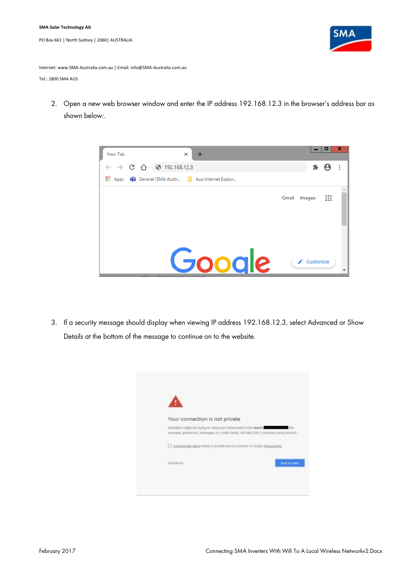

Internet: www.SMA-Australia.com.au | Email: info@SMA-Australia.com.au

Tel.: 1800 SMA AUS

2. Open a new web browser window and enter the IP address 192.168.12.3 in the browser's address bar as shown below:.



3. If a security message should display when viewing IP address 192.168.12.3, select Advanced or Show Details at the bottom of the message to continue on to the website.

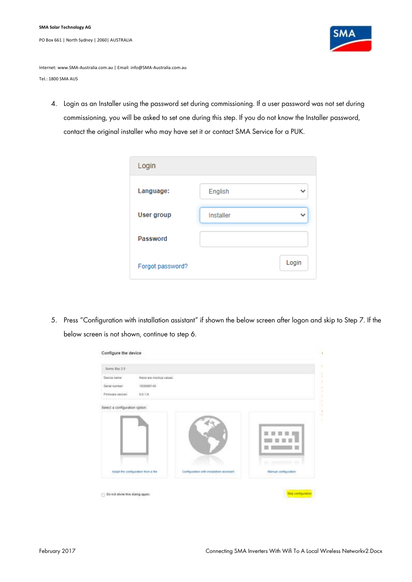

Internet: www.SMA-Australia.com.au | Email: info@SMA-Australia.com.au Tel.: 1800 SMA AUS

4. Login as an Installer using the password set during commissioning. If a user password was not set during commissioning, you will be asked to set one during this step. If you do not know the Installer password, contact the original installer who may have set it or contact SMA Service for a PUK.

| Login             |           |       |
|-------------------|-----------|-------|
| Language:         | English   |       |
| <b>User group</b> | Installer |       |
| Password          |           |       |
| Forgot password?  |           | Login |

5. Press "Configuration with installation assistant" if shown the below screen after logon and skip to Step 7. If the below screen is not shown, continue to step 6.

| Device name:       |                                    |                                           |                                                                                                                                                                            |
|--------------------|------------------------------------|-------------------------------------------|----------------------------------------------------------------------------------------------------------------------------------------------------------------------------|
|                    | these are motival values.          |                                           |                                                                                                                                                                            |
| Setul number:      | 1930000145                         |                                           |                                                                                                                                                                            |
| Firmingra varsion: | 0.0.1M                             |                                           |                                                                                                                                                                            |
|                    | Adapt the configuration from a the | Configuration with installation assistant | ٠<br>m<br>$\label{eq:1} \begin{array}{lll} \mathcal{L}_{\mathcal{B}}(x) = \mathcal{L}_{\mathcal{B}}(x) = \mathcal{L}_{\mathcal{B}}(x) \end{array}$<br>Manual configuration |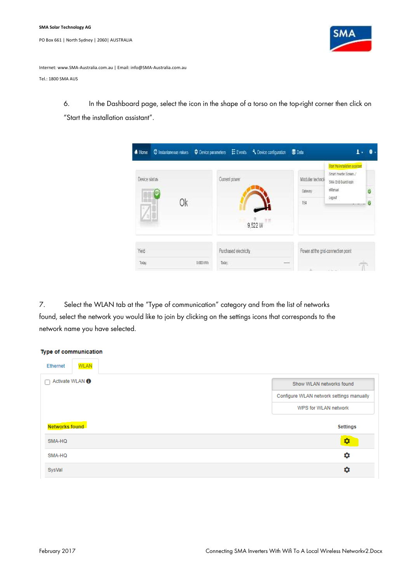

Internet: www.SMA-Australia.com.au | Email: info@SMA-Australia.com.au

Tel.: 1800 SMA AUS

6. In the Dashboard page, select the icon in the shape of a torso on the top-right corner then click on "Start the installation assistant".

|                |    |                                              |                                                    | ı                                                                                                              |
|----------------|----|----------------------------------------------|----------------------------------------------------|----------------------------------------------------------------------------------------------------------------|
| Device status  | 0k | Current power                                | Modular technoli<br>Gám/a/<br>$188$<br>m<br>9.522W | Start the installation assistant<br>Smart Inverter Screen J<br>SMA Grid Guardilegin<br>ellargal<br>ø<br>Logait |
| Yeld<br>Today: |    | Purchased electricity<br>0.000 kMh<br>Today. | <b>COLLA</b>                                       | Power at the grid-connection point                                                                             |

7. Select the WLAN tab at the "Type of communication" category and from the list of networks found, select the network you would like to join by clicking on the settings icons that corresponds to the network name you have selected.

| Type of communication           |                                          |
|---------------------------------|------------------------------------------|
| <b>WLAN</b><br>Ethernet         |                                          |
| Activate WLAN <sup>6</sup><br>┐ | Show WLAN networks found                 |
|                                 | Configure WLAN network settings manually |
|                                 | WPS for WLAN network                     |
| Networks found                  | <b>Settings</b>                          |
| SMA-HQ                          | ¢                                        |
| SMA-HQ                          | ۰                                        |
| SysVal                          | ۰                                        |